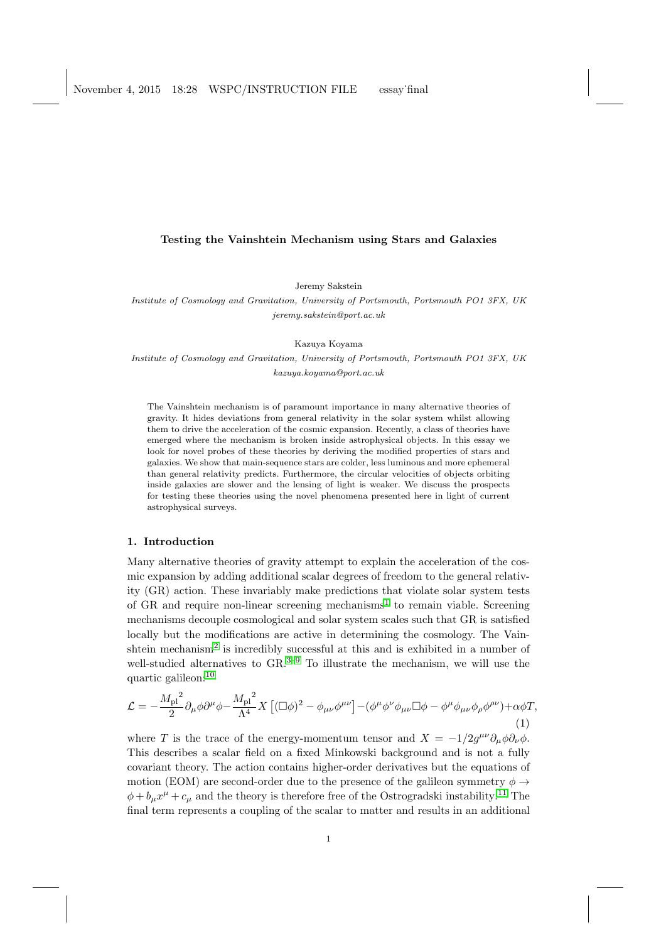### Testing the Vainshtein Mechanism using Stars and Galaxies

Jeremy Sakstein

Institute of Cosmology and Gravitation, University of Portsmouth, Portsmouth PO1 3FX, UK jeremy.sakstein@port.ac.uk

Kazuya Koyama

Institute of Cosmology and Gravitation, University of Portsmouth, Portsmouth PO1 3FX, UK kazuya.koyama@port.ac.uk

The Vainshtein mechanism is of paramount importance in many alternative theories of gravity. It hides deviations from general relativity in the solar system whilst allowing them to drive the acceleration of the cosmic expansion. Recently, a class of theories have emerged where the mechanism is broken inside astrophysical objects. In this essay we look for novel probes of these theories by deriving the modified properties of stars and galaxies. We show that main-sequence stars are colder, less luminous and more ephemeral than general relativity predicts. Furthermore, the circular velocities of objects orbiting inside galaxies are slower and the lensing of light is weaker. We discuss the prospects for testing these theories using the novel phenomena presented here in light of current astrophysical surveys.

### 1. Introduction

Many alternative theories of gravity attempt to explain the acceleration of the cosmic expansion by adding additional scalar degrees of freedom to the general relativity (GR) action. These invariably make predictions that violate solar system tests of GR and require non-linear screening mechanisms<sup>[1](#page-5-0)</sup> to remain viable. Screening mechanisms decouple cosmological and solar system scales such that GR is satisfied locally but the modifications are active in determining the cosmology. The Vain-shtein mechanism<sup>[2](#page-5-1)</sup> is incredibly successful at this and is exhibited in a number of well-studied alternatives to  $\text{GR.}^{3-9}$  $\text{GR.}^{3-9}$  $\text{GR.}^{3-9}$  To illustrate the mechanism, we will use the quartic galileon:[10](#page-6-0)

<span id="page-0-0"></span>
$$
\mathcal{L} = -\frac{M_{\rm pl}^2}{2} \partial_{\mu} \phi \partial^{\mu} \phi - \frac{M_{\rm pl}^2}{\Lambda^4} X \left[ (\Box \phi)^2 - \phi_{\mu \nu} \phi^{\mu \nu} \right] - (\phi^{\mu} \phi^{\nu} \phi_{\mu \nu} \Box \phi - \phi^{\mu} \phi_{\mu \nu} \phi_{\rho} \phi^{\rho \nu}) + \alpha \phi T, \tag{1}
$$

where T is the trace of the energy-momentum tensor and  $X = -1/2g^{\mu\nu}\partial_{\mu}\phi\partial_{\nu}\phi$ . This describes a scalar field on a fixed Minkowski background and is not a fully covariant theory. The action contains higher-order derivatives but the equations of motion (EOM) are second-order due to the presence of the galileon symmetry  $\phi \rightarrow$  $\phi + b_{\mu}x^{\mu} + c_{\mu}$  and the theory is therefore free of the Ostrogradski instability.<sup>[11](#page-6-1)</sup> The final term represents a coupling of the scalar to matter and results in an additional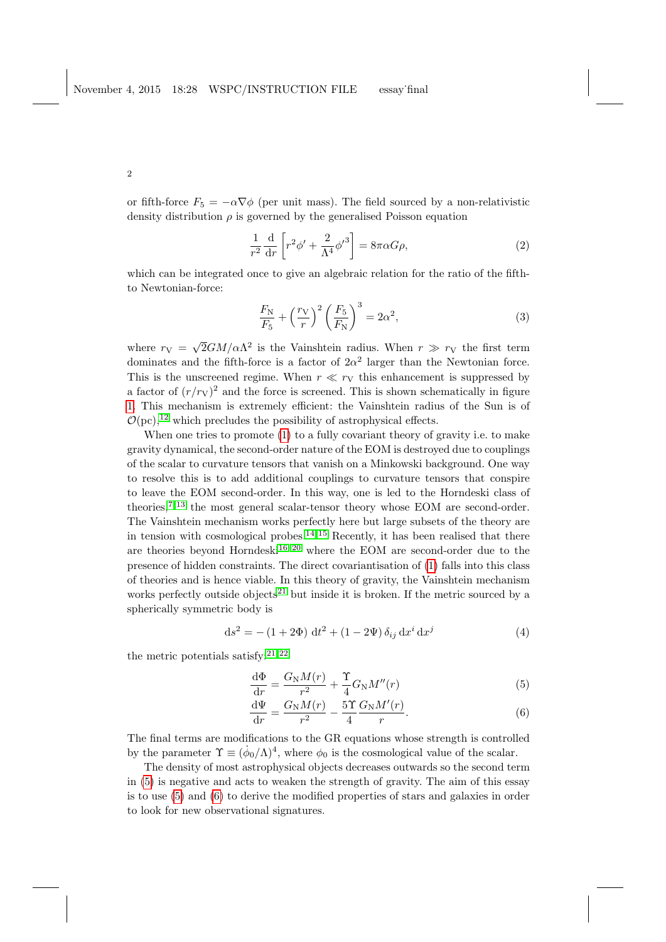2

or fifth-force  $F_5 = -\alpha \nabla \phi$  (per unit mass). The field sourced by a non-relativistic density distribution  $\rho$  is governed by the generalised Poisson equation

$$
\frac{1}{r^2}\frac{d}{dr}\left[r^2\phi' + \frac{2}{\Lambda^4}\phi'^3\right] = 8\pi\alpha G\rho,
$$
\n(2)

which can be integrated once to give an algebraic relation for the ratio of the fifthto Newtonian-force:

$$
\frac{F_{\rm N}}{F_5} + \left(\frac{r_{\rm V}}{r}\right)^2 \left(\frac{F_5}{F_{\rm N}}\right)^3 = 2\alpha^2,\tag{3}
$$

where  $r_V =$ √  $\overline{2}GM/\alpha\Lambda^2$  is the Vainshtein radius. When  $r \gg r_V$  the first term dominates and the fifth-force is a factor of  $2\alpha^2$  larger than the Newtonian force. This is the unscreened regime. When  $r \ll r_V$  this enhancement is suppressed by a factor of  $(r/r_V)^2$  and the force is screened. This is shown schematically in figure [1.](#page-1-0) This mechanism is extremely efficient: the Vainshtein radius of the Sun is of  $\mathcal{O}(pc)$ ,<sup>[12](#page-6-2)</sup> which precludes the possibility of astrophysical effects.

When one tries to promote [\(1\)](#page-0-0) to a fully covariant theory of gravity i.e. to make gravity dynamical, the second-order nature of the EOM is destroyed due to couplings of the scalar to curvature tensors that vanish on a Minkowski background. One way to resolve this is to add additional couplings to curvature tensors that conspire to leave the EOM second-order. In this way, one is led to the Horndeski class of theories,  $7,13$  $7,13$  the most general scalar-tensor theory whose EOM are second-order. The Vainshtein mechanism works perfectly here but large subsets of the theory are in tension with cosmological probes.<sup>[14,](#page-6-4) [15](#page-6-5)</sup> Recently, it has been realised that there are theories beyond Horndeski<sup>[16](#page-6-6)[–20](#page-6-7)</sup> where the EOM are second-order due to the presence of hidden constraints. The direct covariantisation of [\(1\)](#page-0-0) falls into this class of theories and is hence viable. In this theory of gravity, the Vainshtein mechanism works perfectly outside objects<sup>[21](#page-6-8)</sup> but inside it is broken. If the metric sourced by a spherically symmetric body is

$$
ds^{2} = -(1 + 2\Phi) dt^{2} + (1 - 2\Psi) \delta_{ij} dx^{i} dx^{j}
$$
\n(4)

the metric potentials satisfy:  $2^{1,22}$ 

<span id="page-1-1"></span>
$$
\frac{\mathrm{d}\Phi}{\mathrm{d}r} = \frac{G_{\rm N}M(r)}{r^2} + \frac{\Upsilon}{4}G_{\rm N}M''(r) \tag{5}
$$

<span id="page-1-0"></span>
$$
\frac{\mathrm{d}\Psi}{\mathrm{d}r} = \frac{G_{\mathrm{N}}M(r)}{r^2} - \frac{5\Upsilon}{4}\frac{G_{\mathrm{N}}M'(r)}{r}.\tag{6}
$$

The final terms are modifications to the GR equations whose strength is controlled by the parameter  $\Upsilon \equiv (\dot{\phi}_0/\Lambda)^4$ , where  $\phi_0$  is the cosmological value of the scalar.

The density of most astrophysical objects decreases outwards so the second term in [\(5\)](#page-1-1) is negative and acts to weaken the strength of gravity. The aim of this essay is to use [\(5\)](#page-1-1) and [\(6\)](#page-1-0) to derive the modified properties of stars and galaxies in order to look for new observational signatures.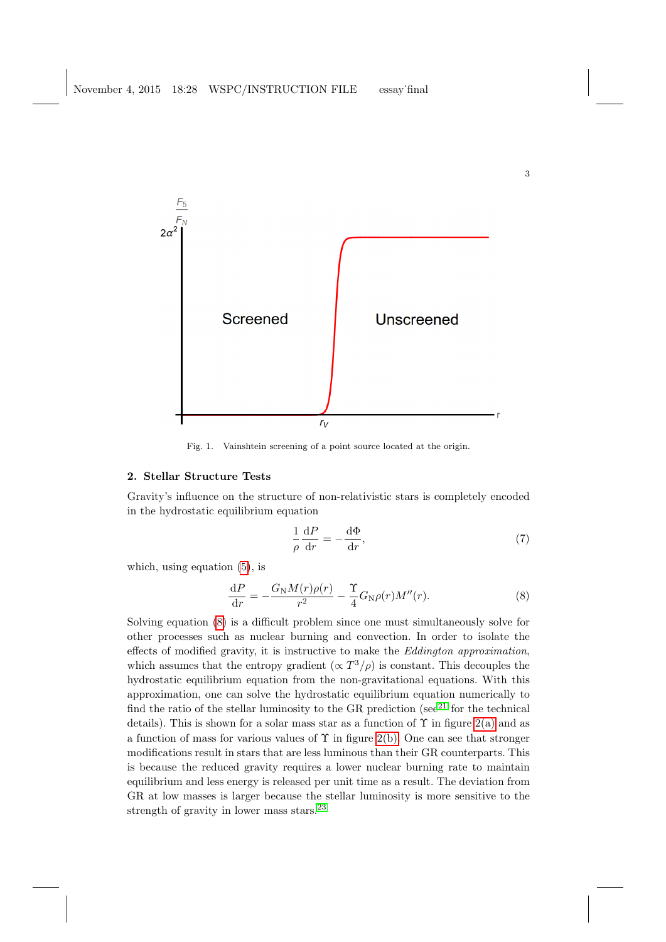

Fig. 1. Vainshtein screening of a point source located at the origin.

## 2. Stellar Structure Tests

Gravity's influence on the structure of non-relativistic stars is completely encoded in the hydrostatic equilibrium equation

$$
\frac{1}{\rho} \frac{dP}{dr} = -\frac{d\Phi}{dr},\tag{7}
$$

3

which, using equation [\(5\)](#page-1-1), is

<span id="page-2-0"></span>
$$
\frac{\mathrm{d}P}{\mathrm{d}r} = -\frac{G_{\rm N}M(r)\rho(r)}{r^2} - \frac{\Upsilon}{4}G_{\rm N}\rho(r)M''(r). \tag{8}
$$

Solving equation [\(8\)](#page-2-0) is a difficult problem since one must simultaneously solve for other processes such as nuclear burning and convection. In order to isolate the effects of modified gravity, it is instructive to make the Eddington approximation, which assumes that the entropy gradient  $(\propto T^3/\rho)$  is constant. This decouples the hydrostatic equilibrium equation from the non-gravitational equations. With this approximation, one can solve the hydrostatic equilibrium equation numerically to find the ratio of the stellar luminosity to the GR prediction (see<sup>[21](#page-6-8)</sup> for the technical details). This is shown for a solar mass star as a function of  $\Upsilon$  in figure [2\(a\)](#page-3-0) and as a function of mass for various values of  $\Upsilon$  in figure [2\(b\).](#page-3-1) One can see that stronger modifications result in stars that are less luminous than their GR counterparts. This is because the reduced gravity requires a lower nuclear burning rate to maintain equilibrium and less energy is released per unit time as a result. The deviation from GR at low masses is larger because the stellar luminosity is more sensitive to the strength of gravity in lower mass stars.<sup>[23](#page-6-10)</sup>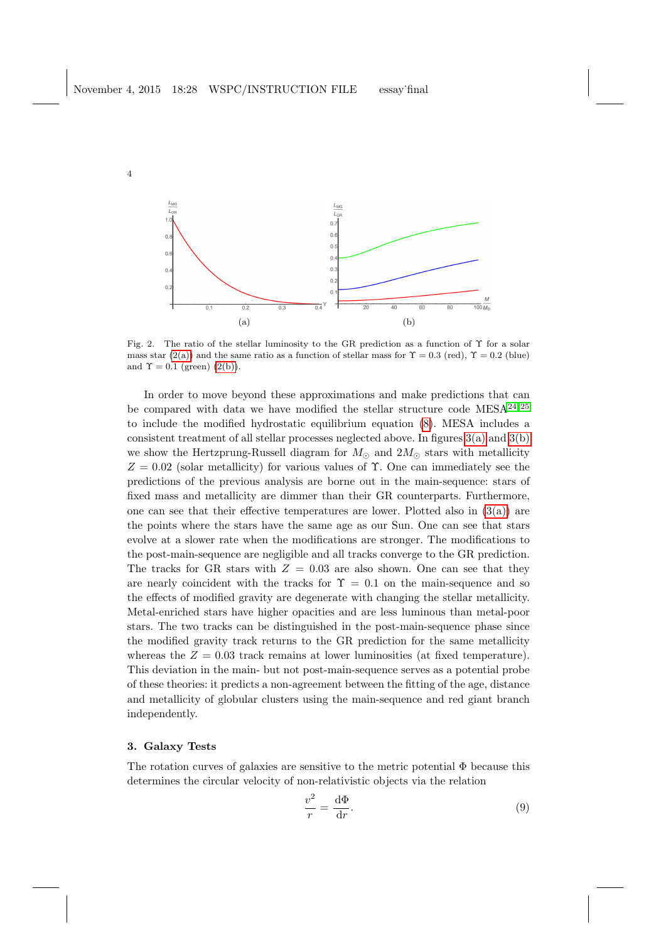4

<span id="page-3-0"></span>

<span id="page-3-1"></span>Fig. 2. The ratio of the stellar luminosity to the GR prediction as a function of Υ for a solar mass star [\(2\(a\)\)](#page-3-0) and the same ratio as a function of stellar mass for  $\Upsilon = 0.3$  (red),  $\Upsilon = 0.2$  (blue) and  $\Upsilon = 0.1$  (green) [\(2\(b\)\)](#page-3-1).

In order to move beyond these approximations and make predictions that can be compared with data we have modified the stellar structure code  $MESA^{24,25}$  $MESA^{24,25}$  $MESA^{24,25}$ to include the modified hydrostatic equilibrium equation [\(8\)](#page-2-0). MESA includes a consistent treatment of all stellar processes neglected above. In figures [3\(a\)](#page-4-0) and [3\(b\)](#page-4-1) we show the Hertzprung-Russell diagram for  $M_{\odot}$  and  $2M_{\odot}$  stars with metallicity  $Z = 0.02$  (solar metallicity) for various values of  $\Upsilon$ . One can immediately see the predictions of the previous analysis are borne out in the main-sequence: stars of fixed mass and metallicity are dimmer than their GR counterparts. Furthermore, one can see that their effective temperatures are lower. Plotted also in  $(3(a))$  are the points where the stars have the same age as our Sun. One can see that stars evolve at a slower rate when the modifications are stronger. The modifications to the post-main-sequence are negligible and all tracks converge to the GR prediction. The tracks for GR stars with  $Z = 0.03$  are also shown. One can see that they are nearly coincident with the tracks for  $\Upsilon = 0.1$  on the main-sequence and so the effects of modified gravity are degenerate with changing the stellar metallicity. Metal-enriched stars have higher opacities and are less luminous than metal-poor stars. The two tracks can be distinguished in the post-main-sequence phase since the modified gravity track returns to the GR prediction for the same metallicity whereas the  $Z = 0.03$  track remains at lower luminosities (at fixed temperature). This deviation in the main- but not post-main-sequence serves as a potential probe of these theories: it predicts a non-agreement between the fitting of the age, distance and metallicity of globular clusters using the main-sequence and red giant branch independently.

# 3. Galaxy Tests

The rotation curves of galaxies are sensitive to the metric potential  $\Phi$  because this determines the circular velocity of non-relativistic objects via the relation

$$
\frac{v^2}{r} = \frac{\mathrm{d}\Phi}{\mathrm{d}r}.\tag{9}
$$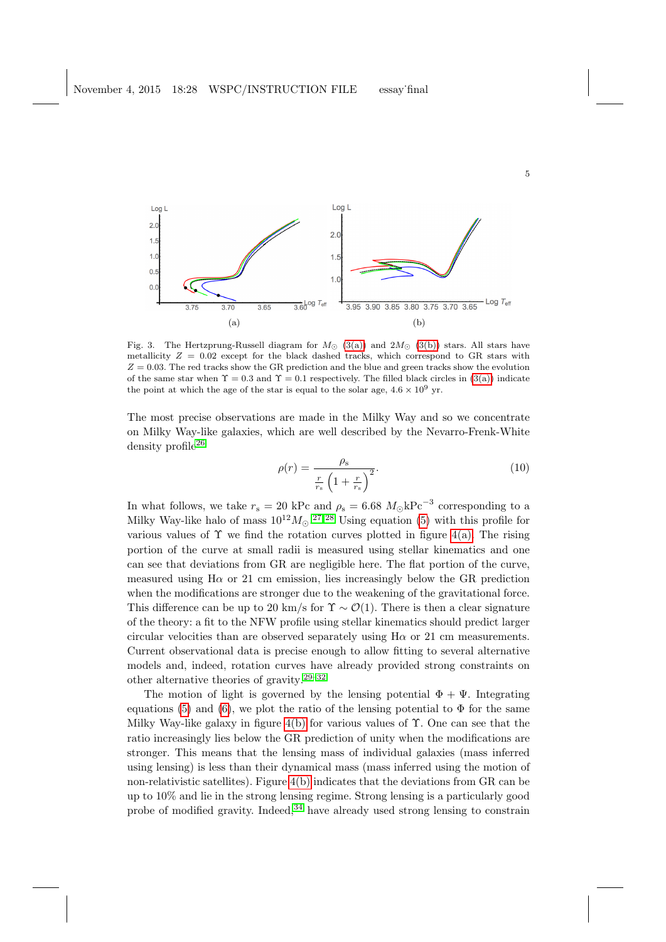<span id="page-4-0"></span>

Fig. 3. The Hertzprung-Russell diagram for  $M_{\odot}$  [\(3\(a\)\)](#page-4-0) and  $2M_{\odot}$  [\(3\(b\)\)](#page-4-1) stars. All stars have metallicity  $Z = 0.02$  except for the black dashed tracks, which correspond to GR stars with  $Z = 0.03$ . The red tracks show the GR prediction and the blue and green tracks show the evolution of the same star when  $\Upsilon = 0.3$  and  $\Upsilon = 0.1$  respectively. The filled black circles in [\(3\(a\)\)](#page-4-0) indicate the point at which the age of the star is equal to the solar age,  $4.6 \times 10^9$  yr.

The most precise observations are made in the Milky Way and so we concentrate on Milky Way-like galaxies, which are well described by the Nevarro-Frenk-White density profile<sup>[26](#page-6-13)</sup>

<span id="page-4-1"></span>
$$
\rho(r) = \frac{\rho_s}{\frac{r}{r_s} \left(1 + \frac{r}{r_s}\right)^2}.
$$
\n(10)

In what follows, we take  $r_s = 20$  kPc and  $\rho_s = 6.68$   $M_{\odot}$ kPc<sup>-3</sup> corresponding to a Milky Way-like halo of mass  $10^{12} M_{\odot}$ .<sup>[27,](#page-6-14) [28](#page-6-15)</sup> Using equation [\(5\)](#page-1-1) with this profile for various values of  $\Upsilon$  we find the rotation curves plotted in figure [4\(a\).](#page-5-5) The rising portion of the curve at small radii is measured using stellar kinematics and one can see that deviations from GR are negligible here. The flat portion of the curve, measured using  $H\alpha$  or 21 cm emission, lies increasingly below the GR prediction when the modifications are stronger due to the weakening of the gravitational force. This difference can be up to 20 km/s for  $\Upsilon \sim \mathcal{O}(1)$ . There is then a clear signature of the theory: a fit to the NFW profile using stellar kinematics should predict larger circular velocities than are observed separately using  $H\alpha$  or 21 cm measurements. Current observational data is precise enough to allow fitting to several alternative models and, indeed, rotation curves have already provided strong constraints on other alternative theories of gravity.[29](#page-6-16)[–32](#page-6-17)

The motion of light is governed by the lensing potential  $\Phi + \Psi$ . Integrating equations [\(5\)](#page-1-1) and [\(6\)](#page-1-0), we plot the ratio of the lensing potential to  $\Phi$  for the same Milky Way-like galaxy in figure  $4(b)$  for various values of  $\Upsilon$ . One can see that the ratio increasingly lies below the GR prediction of unity when the modifications are stronger. This means that the lensing mass of individual galaxies (mass inferred using lensing) is less than their dynamical mass (mass inferred using the motion of non-relativistic satellites). Figure [4\(b\)](#page-5-6) indicates that the deviations from GR can be up to 10% and lie in the strong lensing regime. Strong lensing is a particularly good probe of modified gravity. Indeed,  $34$  have already used strong lensing to constrain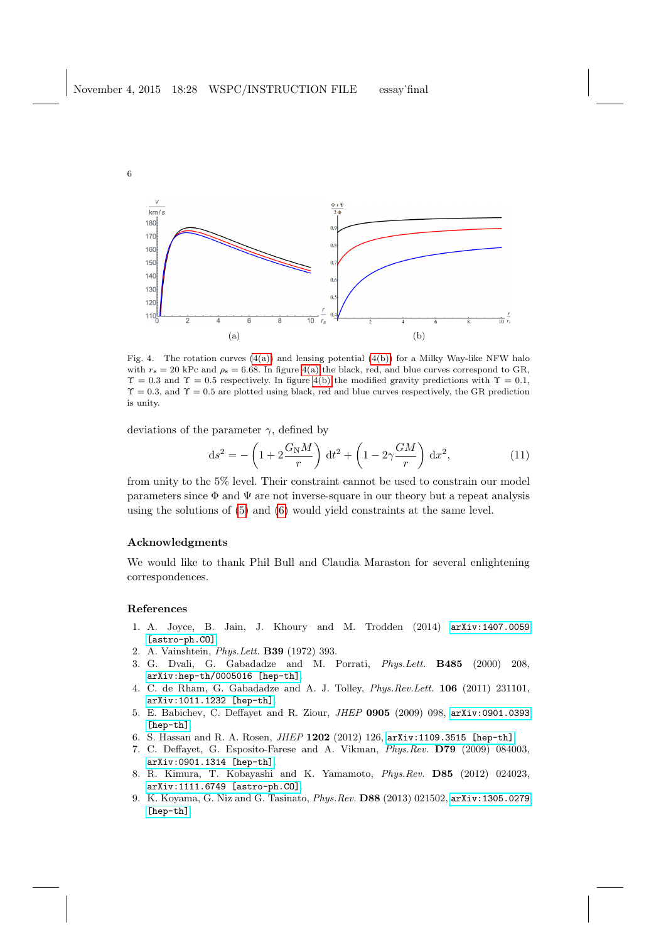<span id="page-5-5"></span>

Fig. 4. The rotation curves  $(4(a))$  and lensing potential  $(4(b))$  for a Milky Way-like NFW halo with  $r_s = 20$  kPc and  $\rho_s = 6.68$ . In figure [4\(a\)](#page-5-5) the black, red, and blue curves correspond to GR,  $\Upsilon = 0.3$  and  $\Upsilon = 0.5$  respectively. In figure [4\(b\)](#page-5-6) the modified gravity predictions with  $\Upsilon = 0.1$ ,  $\Upsilon = 0.3$ , and  $\Upsilon = 0.5$  are plotted using black, red and blue curves respectively, the GR prediction is unity.

deviations of the parameter  $\gamma$ , defined by

<span id="page-5-6"></span>
$$
\mathrm{d}s^2 = -\left(1 + 2\frac{G_\mathrm{N}M}{r}\right)\mathrm{d}t^2 + \left(1 - 2\gamma\frac{GM}{r}\right)\mathrm{d}x^2,\tag{11}
$$

from unity to the 5% level. Their constraint cannot be used to constrain our model parameters since  $\Phi$  and  $\Psi$  are not inverse-square in our theory but a repeat analysis using the solutions of [\(5\)](#page-1-1) and [\(6\)](#page-1-0) would yield constraints at the same level.

### Acknowledgments

We would like to thank Phil Bull and Claudia Maraston for several enlightening correspondences.

### References

- <span id="page-5-0"></span>1. A. Joyce, B. Jain, J. Khoury and M. Trodden (2014) [arXiv:1407.0059](http://arxiv.org/abs/1407.0059) [\[astro-ph.CO\]](http://arxiv.org/abs/1407.0059).
- <span id="page-5-1"></span>2. A. Vainshtein, Phys.Lett. B39 (1972) 393.
- <span id="page-5-2"></span>3. G. Dvali, G. Gabadadze and M. Porrati, Phys.Lett. B485 (2000) 208, [arXiv:hep-th/0005016 \[hep-th\]](http://arxiv.org/abs/hep-th/0005016).
- 4. C. de Rham, G. Gabadadze and A. J. Tolley, Phys.Rev.Lett. 106 (2011) 231101, [arXiv:1011.1232 \[hep-th\]](http://arxiv.org/abs/1011.1232).
- 5. E. Babichev, C. Deffayet and R. Ziour, JHEP 0905 (2009) 098, [arXiv:0901.0393](http://arxiv.org/abs/0901.0393) [\[hep-th\]](http://arxiv.org/abs/0901.0393).
- 6. S. Hassan and R. A. Rosen, JHEP 1202 (2012) 126, [arXiv:1109.3515 \[hep-th\]](http://arxiv.org/abs/1109.3515).
- <span id="page-5-4"></span>7. C. Deffayet, G. Esposito-Farese and A. Vikman, Phys.Rev. D79 (2009) 084003, [arXiv:0901.1314 \[hep-th\]](http://arxiv.org/abs/0901.1314).
- 8. R. Kimura, T. Kobayashi and K. Yamamoto, Phys.Rev. D85 (2012) 024023, [arXiv:1111.6749 \[astro-ph.CO\]](http://arxiv.org/abs/1111.6749).
- <span id="page-5-3"></span>9. K. Koyama, G. Niz and G. Tasinato, Phys.Rev. D88 (2013) 021502, [arXiv:1305.0279](http://arxiv.org/abs/1305.0279) [\[hep-th\]](http://arxiv.org/abs/1305.0279).